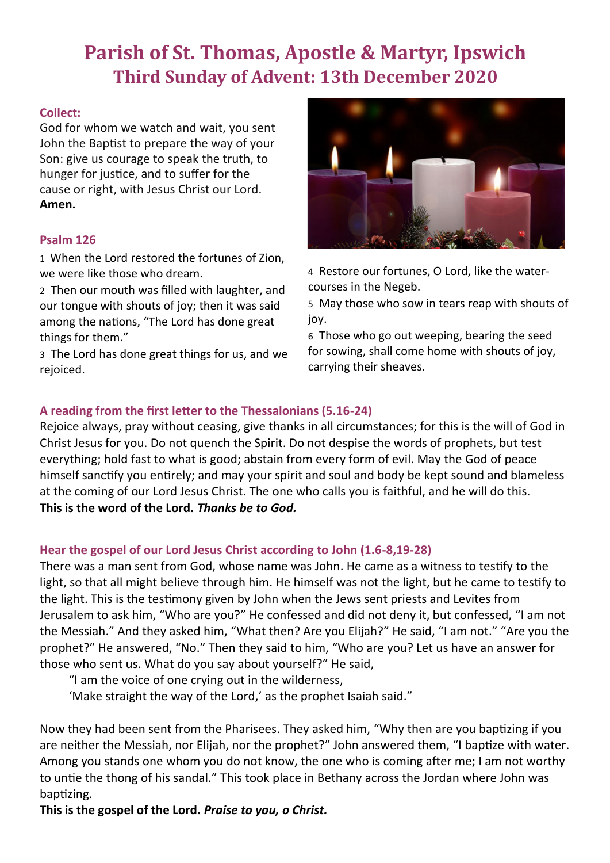# **Parish of St. Thomas, Apostle & Martyr, Ipswich Third Sunday of Advent: 13th December 2020**

## **Collect:**

God for whom we watch and wait, you sent John the Baptist to prepare the way of your Son: give us courage to speak the truth, to hunger for justice, and to suffer for the cause or right, with Jesus Christ our Lord. **Amen.**

## **Psalm 126**

1 When the Lord restored the fortunes of Zion, we were like those who dream.

2 Then our mouth was filled with laughter, and our tongue with shouts of joy; then it was said among the nations, "The Lord has done great things for them."

3 The Lord has done great things for us, and we rejoiced.



4 Restore our fortunes, O Lord, like the watercourses in the Negeb.

5 May those who sow in tears reap with shouts of joy.

6 Those who go out weeping, bearing the seed for sowing, shall come home with shouts of joy, carrying their sheaves.

## **A reading from the first letter to the Thessalonians (5.16-24)**

Rejoice always, pray without ceasing, give thanks in all circumstances; for this is the will of God in Christ Jesus for you. Do not quench the Spirit. Do not despise the words of prophets, but test everything; hold fast to what is good; abstain from every form of evil. May the God of peace himself sanctify you entirely; and may your spirit and soul and body be kept sound and blameless at the coming of our Lord Jesus Christ. The one who calls you is faithful, and he will do this. **This is the word of the Lord.** *Thanks be to God.*

## **Hear the gospel of our Lord Jesus Christ according to John (1.6-8,19-28)**

There was a man sent from God, whose name was John. He came as a witness to testify to the light, so that all might believe through him. He himself was not the light, but he came to testify to the light. This is the testimony given by John when the Jews sent priests and Levites from Jerusalem to ask him, "Who are you?" He confessed and did not deny it, but confessed, "I am not the Messiah." And they asked him, "What then? Are you Elijah?" He said, "I am not." "Are you the prophet?" He answered, "No." Then they said to him, "Who are you? Let us have an answer for those who sent us. What do you say about yourself?" He said,

"I am the voice of one crying out in the wilderness, 'Make straight the way of the Lord,' as the prophet Isaiah said."

Now they had been sent from the Pharisees. They asked him, "Why then are you baptizing if you are neither the Messiah, nor Elijah, nor the prophet?" John answered them, "I baptize with water. Among you stands one whom you do not know, the one who is coming after me; I am not worthy to untie the thong of his sandal." This took place in Bethany across the Jordan where John was baptizing.

**This is the gospel of the Lord.** *Praise to you, o Christ.*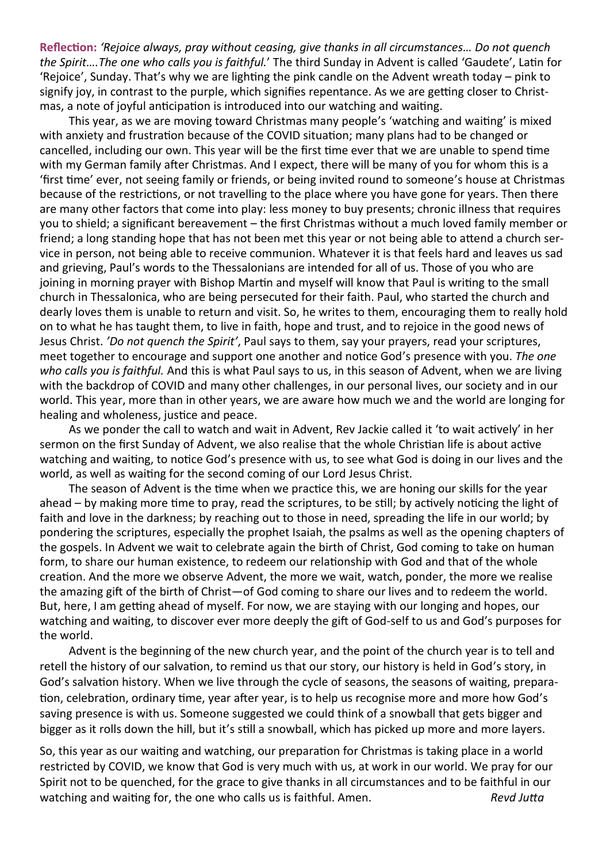**Reflection:** *'Rejoice always, pray without ceasing, give thanks in all circumstances… Do not quench the Spirit….The one who calls you is faithful.*' The third Sunday in Advent is called 'Gaudete', Latin for 'Rejoice', Sunday. That's why we are lighting the pink candle on the Advent wreath today – pink to signify joy, in contrast to the purple, which signifies repentance. As we are getting closer to Christmas, a note of joyful anticipation is introduced into our watching and waiting.

This year, as we are moving toward Christmas many people's 'watching and waiting' is mixed with anxiety and frustration because of the COVID situation; many plans had to be changed or cancelled, including our own. This year will be the first time ever that we are unable to spend time with my German family after Christmas. And I expect, there will be many of you for whom this is a 'first time' ever, not seeing family or friends, or being invited round to someone's house at Christmas because of the restrictions, or not travelling to the place where you have gone for years. Then there are many other factors that come into play: less money to buy presents; chronic illness that requires you to shield; a significant bereavement – the first Christmas without a much loved family member or friend; a long standing hope that has not been met this year or not being able to attend a church service in person, not being able to receive communion. Whatever it is that feels hard and leaves us sad and grieving, Paul's words to the Thessalonians are intended for all of us. Those of you who are joining in morning prayer with Bishop Martin and myself will know that Paul is writing to the small church in Thessalonica, who are being persecuted for their faith. Paul, who started the church and dearly loves them is unable to return and visit. So, he writes to them, encouraging them to really hold on to what he has taught them, to live in faith, hope and trust, and to rejoice in the good news of Jesus Christ. *'Do not quench the Spirit'*, Paul says to them, say your prayers, read your scriptures, meet together to encourage and support one another and notice God's presence with you. *The one who calls you is faithful.* And this is what Paul says to us, in this season of Advent, when we are living with the backdrop of COVID and many other challenges, in our personal lives, our society and in our world. This year, more than in other years, we are aware how much we and the world are longing for healing and wholeness, justice and peace.

As we ponder the call to watch and wait in Advent, Rev Jackie called it 'to wait actively' in her sermon on the first Sunday of Advent, we also realise that the whole Christian life is about active watching and waiting, to notice God's presence with us, to see what God is doing in our lives and the world, as well as waiting for the second coming of our Lord Jesus Christ.

The season of Advent is the time when we practice this, we are honing our skills for the year ahead – by making more time to pray, read the scriptures, to be still; by actively noticing the light of faith and love in the darkness; by reaching out to those in need, spreading the life in our world; by pondering the scriptures, especially the prophet Isaiah, the psalms as well as the opening chapters of the gospels. In Advent we wait to celebrate again the birth of Christ, God coming to take on human form, to share our human existence, to redeem our relationship with God and that of the whole creation. And the more we observe Advent, the more we wait, watch, ponder, the more we realise the amazing gift of the birth of Christ—of God coming to share our lives and to redeem the world. But, here, I am getting ahead of myself. For now, we are staying with our longing and hopes, our watching and waiting, to discover ever more deeply the gift of God-self to us and God's purposes for the world.

Advent is the beginning of the new church year, and the point of the church year is to tell and retell the history of our salvation, to remind us that our story, our history is held in God's story, in God's salvation history. When we live through the cycle of seasons, the seasons of waiting, preparation, celebration, ordinary time, year after year, is to help us recognise more and more how God's saving presence is with us. Someone suggested we could think of a snowball that gets bigger and bigger as it rolls down the hill, but it's still a snowball, which has picked up more and more layers.

So, this year as our waiting and watching, our preparation for Christmas is taking place in a world restricted by COVID, we know that God is very much with us, at work in our world. We pray for our Spirit not to be quenched, for the grace to give thanks in all circumstances and to be faithful in our watching and waiting for, the one who calls us is faithful. Amen. *Revd Jutta*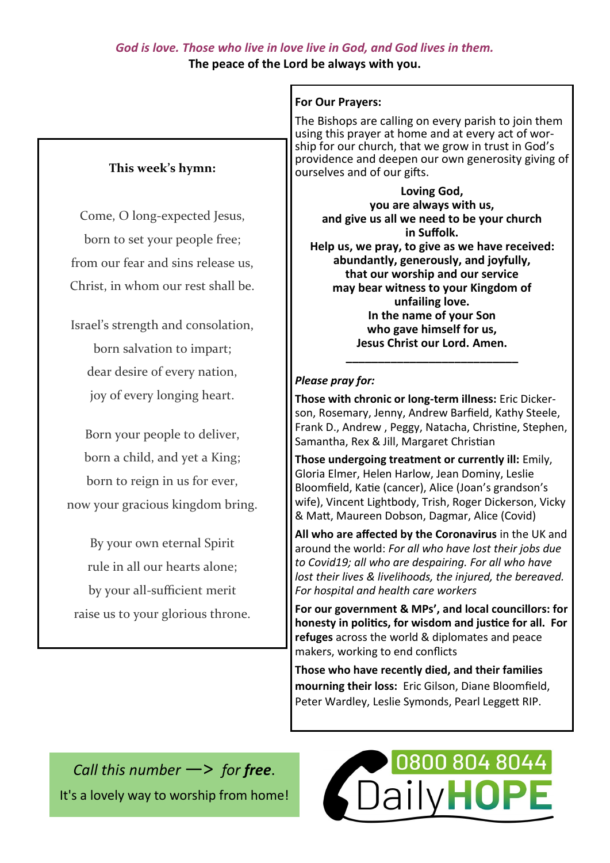#### *God is love. Those who live in love live in God, and God lives in them.* **The peace of the Lord be always with you.**

## **This week's hymn:**

Come, O long-expected Jesus, born to set your people free; from our fear and sins release us, Christ, in whom our rest shall be.

Israel's strength and consolation, born salvation to impart; dear desire of every nation, joy of every longing heart.

Born your people to deliver, born a child, and yet a King; born to reign in us for ever, now your gracious kingdom bring.

By your own eternal Spirit rule in all our hearts alone; by your all-sufficient merit raise us to your glorious throne.

### **For Our Prayers:**

The Bishops are calling on every parish to join them using this prayer at home and at every act of worship for our church, that we grow in trust in God's providence and deepen our own generosity giving of ourselves and of our gifts.

**Loving God, you are always with us, and give us all we need to be your church in Suffolk. Help us, we pray, to give as we have received: abundantly, generously, and joyfully, that our worship and our service may bear witness to your Kingdom of unfailing love. In the name of your Son who gave himself for us, Jesus Christ our Lord. Amen.**

#### *Please pray for:*

**Those with chronic or long-term illness:** Eric Dickerson, Rosemary, Jenny, Andrew Barfield, Kathy Steele, Frank D., Andrew , Peggy, Natacha, Christine, Stephen, Samantha, Rex & Jill, Margaret Christian

**\_\_\_\_\_\_\_\_\_\_\_\_\_\_\_\_\_\_\_\_\_\_\_\_\_\_\_**

**Those undergoing treatment or currently ill:** Emily, Gloria Elmer, Helen Harlow, Jean Dominy, Leslie Bloomfield, Katie (cancer), Alice (Joan's grandson's wife), Vincent Lightbody, Trish, Roger Dickerson, Vicky & Matt, Maureen Dobson, Dagmar, Alice (Covid)

**All who are affected by the Coronavirus** in the UK and around the world: *For all who have lost their jobs due to Covid19; all who are despairing. For all who have lost their lives & livelihoods, the injured, the bereaved. For hospital and health care workers*

**For our government & MPs', and local councillors: for honesty in politics, for wisdom and justice for all. For refuges** across the world & diplomates and peace makers, working to end conflicts

**Those who have recently died, and their families mourning their loss:** Eric Gilson, Diane Bloomfield, Peter Wardley, Leslie Symonds, Pearl Leggett RIP.

*Call this number* —> *for free*. It's a lovely way to worship from home!